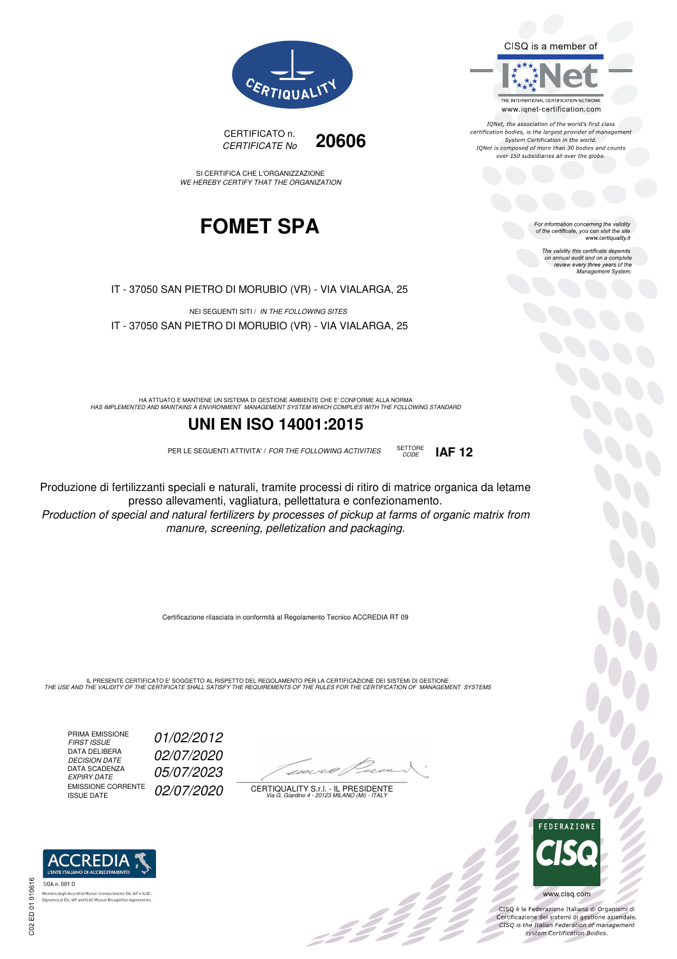CISQ is a member of



IQNet, the association of the world's first class certification bodies, is the largest provider of management System Certification in the world.<br>IQNet is composed of more than 30 bodies and counts over 150 subsidiaries all over the globe.

> For information concerning the validity<br>of the certificate, you can visit the site www.certiquality.it

> > The validity this certificate depends on annual audit and on a complete<br>on annual audit and on a complete<br>review every three years of the<br>Management System.





SI CERTIFICA CHE L'ORGANIZZAZIONE WE HEREBY CERTIFY THAT THE ORGANIZATION

## **FOMET SPA**

IT - 37050 SAN PIETRO DI MORUBIO (VR) - VIA VIALARGA, 25

NEI SEGUENTI SITI / IN THE FOLLOWING SITES IT - 37050 SAN PIETRO DI MORUBIO (VR) - VIA VIALARGA, 25

HA ATTUATO E MANTIENE UN SISTEMA DI GESTIONE AMBIENTE CHE E' CONFORME ALLA NORMA<br>HAS IMPLEMENTED AND MAINTAINS A ENVIRONMENT MANAGEMENT SYSTEM WHICH COMPLIES WITH THE FOLLOWING STANDARD

### **UNI EN ISO 14001:2015**

PER LE SEGUENTI ATTIVITA' / FOR THE FOLLOWING ACTIVITIES SETTORE

Produzione di fertilizzanti speciali e naturali, tramite processi di ritiro di matrice organica da letame presso allevamenti, vagliatura, pellettatura e confezionamento.

Production of special and natural fertilizers by processes of pickup at farms of organic matrix from manure, screening, pelletization and packaging.

Certificazione rilasciata in conformità al Regolamento Tecnico ACCREDIA RT 09

IL PRESENTE CERTIFICATO E' SOGGETTO AL RISPETTO DEL REGOLAMENTO PER LA CERTIFICAZIONE DEI SISTEMI DI GESTIONE<br>THE USE AND THE VALIDITY OF THE CERTIFICATE SHALL SATISFY THE REQUIREMENTS OF THE RULES FOR THE CERTIFICATION OF

PRIMA EMISSIONE<br>FIRST ISSUE DATA DELIBERA DECISION DATE<br>DATA SCADENZA<br>EXPIRY DATE EMISSIONE CORRENTE<br>ISSUE DATE

01/02/2012

02/07/2020

05/07/2023

02/07/2020



:42<sup>2</sup>

CERTIQUALITY S.r.l. - IL PRESIDENTE Via G. Giardino 4 - 20123 MILANO (MI) - ITALY



 $\delta_{\rm c}$ 

CISO è la Federazione Italiana di Organismi di Crista e la Federazione Transma di Organismi di<br>Certificazione dei sistemi di gestione aziendale.<br>CISQ is the Italian Federation of management system Certification Bodies.



CODE **IAF 12**